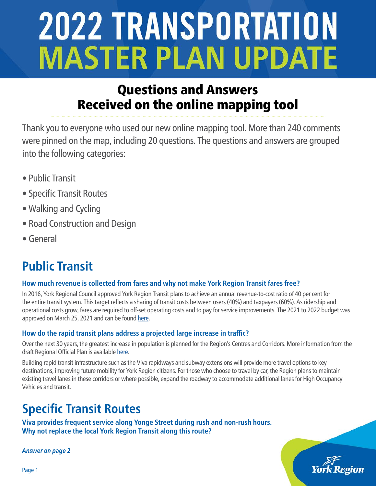## Questions and Answers Received on the online mapping tool

Thank you to everyone who used our new online mapping tool. More than 240 comments were pinned on the map, including 20 questions. The questions and answers are grouped into the following categories:

- Public Transit
- Specific Transit Routes
- Walking and Cycling
- Road Construction and Design
- General

# **Public Transit**

## **How much revenue is collected from fares and why not make York Region Transit fares free?**

In 2016, York Regional Council approved York Region Transit plans to achieve an annual revenue-to-cost ratio of 40 per cent for the entire transit system. This target reflects a sharing of transit costs between users (40%) and taxpayers (60%). As ridership and operational costs grow, fares are required to off-set operating costs and to pay for service improvements. The 2021 to 2022 budget was approved on March 25, 2021 and can be found [here.](https://www.york.ca/wps/wcm/connect/yorkpublic/f7fc986d-3365-4145-8566-c6aa749344d4/%60+Approved+Budget+Book+2021+2021-06-02+1339%28removed+form+fields%29.pdf?MOD=AJPERES&CVID=nDjq6TY])

## **How do the rapid transit plans address a projected large increase in traffic?**

Over the next 30 years, the greatest increase in population is planned for the Region's Centres and Corridors. More information from the draft Regional Official Plan is available [here](https://www.york.ca/wps/wcm/connect/yorkpublic/cd18217e-19a0-45e7-bed6-e779231d0d59/21070_maps%26FiguresDraftROPDec012021.pdf?MOD=AJPERES&CVID=nSwXGz8).

Building rapid transit infrastructure such as the Viva rapidways and subway extensions will provide more travel options to key destinations, improving future mobility for York Region citizens. For those who choose to travel by car, the Region plans to maintain existing travel lanes in these corridors or where possible, expand the roadway to accommodate additional lanes for High Occupancy Vehicles and transit.

## **Specific Transit Routes**

**Viva provides frequent service along Yonge Street during rush and non-rush hours. Why not replace the local York Region Transit along this route?**

**Answer on page 2**



Page 1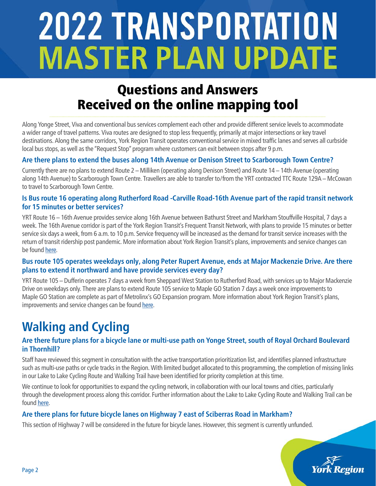## Questions and Answers Received on the online mapping tool

Along Yonge Street, Viva and conventional bus services complement each other and provide different service levels to accommodate a wider range of travel patterns. Viva routes are designed to stop less frequently, primarily at major intersections or key travel destinations. Along the same corridors, York Region Transit operates conventional service in mixed traffic lanes and serves all curbside local bus stops, as well as the "Request Stop" program where customers can exit between stops after 9 p.m.

#### **Are there plans to extend the buses along 14th Avenue or Denison Street to Scarborough Town Centre?**

Currently there are no plans to extend Route 2 – Milliken (operating along Denison Street) and Route 14 – 14th Avenue (operating along 14th Avenue) to Scarborough Town Centre. Travellers are able to transfer to/from the YRT contracted TTC Route 129A – McCowan to travel to Scarborough Town Centre.

#### **Is Bus route 16 operating along Rutherford Road -Carville Road-16th Avenue part of the rapid transit network for 15 minutes or better services?**

YRT Route 16 – 16th Avenue provides service along 16th Avenue between Bathurst Street and Markham Stouffville Hospital, 7 days a week. The 16th Avenue corridor is part of the York Region Transit's Frequent Transit Network, with plans to provide 15 minutes or better service six days a week, from 6 a.m. to 10 p.m. Service frequency will be increased as the demand for transit service increases with the return of transit ridership post pandemic. More information about York Region Transit's plans, improvements and service changes can be found [here](https://www.yrt.ca/en/about-us/service-plans.aspx).

#### **Bus route 105 operates weekdays only, along Peter Rupert Avenue, ends at Major Mackenzie Drive. Are there plans to extend it northward and have provide services every day?**

YRT Route 105 – Dufferin operates 7 days a week from Sheppard West Station to Rutherford Road, with services up to Major Mackenzie Drive on weekdays only. There are plans to extend Route 105 service to Maple GO Station 7 days a week once improvements to Maple GO Station are complete as part of Metrolinx's GO Expansion program. More information about York Region Transit's plans, improvements and service changes can be found [here](https://www.yrt.ca/en/about-us/service-plans.aspx).

# **Walking and Cycling**

#### **Are there future plans for a bicycle lane or multi-use path on Yonge Street, south of Royal Orchard Boulevard in Thornhill?**

Staff have reviewed this segment in consultation with the active transportation prioritization list, and identifies planned infrastructure such as multi-use paths or cycle tracks in the Region. With limited budget allocated to this programming, the completion of missing links in our Lake to Lake Cycling Route and Walking Trail have been identified for priority completion at this time.

We continue to look for opportunities to expand the cycling network, in collaboration with our local towns and cities, particularly through the development process along this corridor. Further information about the Lake to Lake Cycling Route and Walking Trail can be found [here](https://www.york.ca/wps/portal/yorkhome/recreation/yr/cycling/laketolakecyclingrouteandwalkingtrail/).

## **Are there plans for future bicycle lanes on Highway 7 east of Sciberras Road in Markham?**

This section of Highway 7 will be considered in the future for bicycle lanes. However, this segment is currently unfunded.

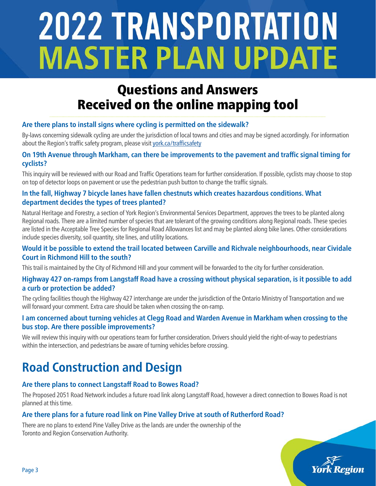## Questions and Answers Received on the online mapping tool

## **Are there plans to install signs where cycling is permitted on the sidewalk?**

By-laws concerning sidewalk cycling are under the jurisdiction of local towns and cities and may be signed accordingly. For information about the Region's traffic safety program, please visit [york.ca/trafficsafety](https://www.york.ca/wps/portal/yorkhome/transportation/yr/traffic/trafficsafetyprogram/)

#### **On 19th Avenue through Markham, can there be improvements to the pavement and traffic signal timing for cyclists?**

This inquiry will be reviewed with our Road and Traffic Operations team for further consideration. If possible, cyclists may choose to stop on top of detector loops on pavement or use the pedestrian push button to change the traffic signals.

#### **In the fall, Highway 7 bicycle lanes have fallen chestnuts which creates hazardous conditions. What department decides the types of trees planted?**

Natural Heritage and Forestry, a section of York Region's Environmental Services Department, approves the trees to be planted along Regional roads. There are a limited number of species that are tolerant of the growing conditions along Regional roads. These species are listed in the Acceptable Tree Species for Regional Road Allowances list and may be planted along bike lanes. Other considerations include species diversity, soil quantity, site lines, and utility locations.

#### **Would it be possible to extend the trail located between Carville and Richvale neighbourhoods, near Cividale Court in Richmond Hill to the south?**

This trail is maintained by the City of Richmond Hill and your comment will be forwarded to the city for further consideration.

#### **Highway 427 on-ramps from Langstaff Road have a crossing without physical separation, is it possible to add a curb or protection be added?**

The cycling facilities though the Highway 427 interchange are under the jurisdiction of the Ontario Ministry of Transportation and we will forward your comment. Extra care should be taken when crossing the on-ramp.

#### **I am concerned about turning vehicles at Clegg Road and Warden Avenue in Markham when crossing to the bus stop. Are there possible improvements?**

We will review this inquiry with our operations team for further consideration. Drivers should yield the right-of-way to pedestrians within the intersection, and pedestrians be aware of turning vehicles before crossing.

# **Road Construction and Design**

## **Are there plans to connect Langstaff Road to Bowes Road?**

The Proposed 2051 Road Network includes a future road link along Langstaff Road, however a direct connection to Bowes Road is not planned at this time.

## **Are there plans for a future road link on Pine Valley Drive at south of Rutherford Road?**

There are no plans to extend Pine Valley Drive as the lands are under the ownership of the Toronto and Region Conservation Authority.